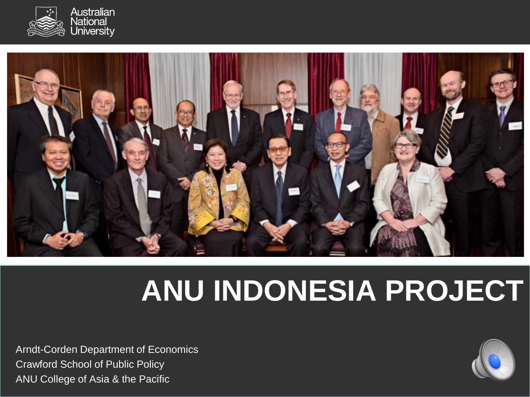



# **ANU INDONESIA PROJECT**

Arndt-Corden Department of Economics Crawford School of Public Policy ANU College of Asia & the Pacific

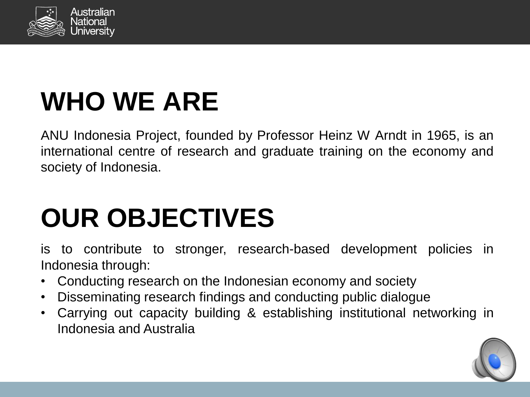

## **WHO WE ARE**

ANU Indonesia Project, founded by Professor Heinz W Arndt in 1965, is an international centre of research and graduate training on the economy and society of Indonesia.

# **OUR OBJECTIVES**

is to contribute to stronger, research-based development policies in Indonesia through:

- Conducting research on the Indonesian economy and society
- Disseminating research findings and conducting public dialogue
- Carrying out capacity building & establishing institutional networking in Indonesia and Australia

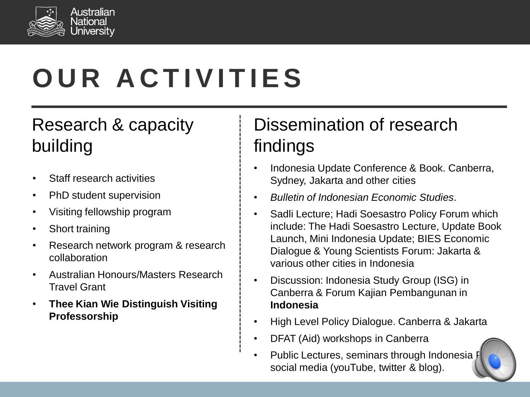

# **O U R A C T I V I T I E S**

### Research & capacity building

- Staff research activities
- PhD student supervision
- Visiting fellowship program
- Short training
- Research network program & research collaboration
- Australian Honours/Masters Research Travel Grant
- **Thee Kian Wie Distinguish Visiting Professorship**

### Dissemination of research findings

- Indonesia Update Conference & Book. Canberra, Sydney, Jakarta and other cities
- *Bulletin of Indonesian Economic Studies*.
- Sadli Lecture; Hadi Soesastro Policy Forum which include: The Hadi Soesastro Lecture, Update Book Launch, Mini Indonesia Update; BIES Economic Dialogue & Young Scientists Forum: Jakarta & various other cities in Indonesia
- Discussion: Indonesia Study Group (ISG) in Canberra & Forum Kajian Pembangunan in **Indonesia**
- High Level Policy Dialogue. Canberra & Jakarta
- DFAT (Aid) workshops in Canberra
- Public Lectures, seminars through Indonesia J social media (youTube, twitter & blog).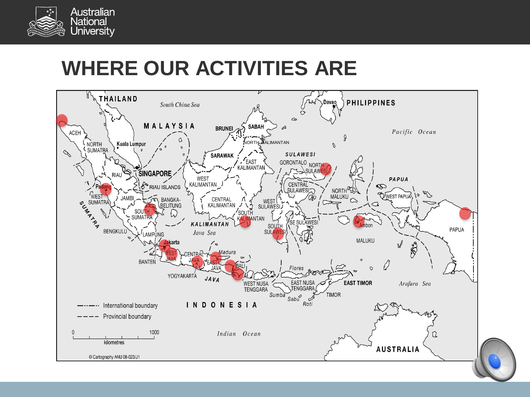

### **WHERE OUR ACTIVITIES ARE**

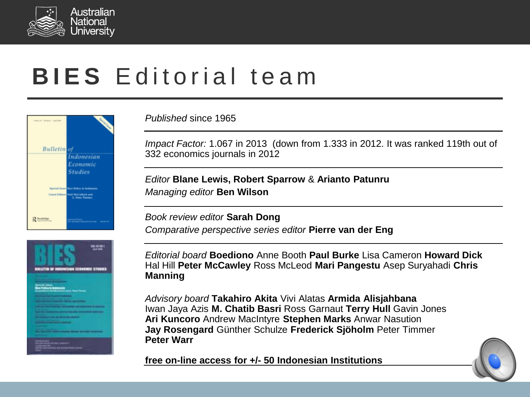

### **BIES** Editorial team





*Published* since 1965

*Impact Factor:* 1.067 in 2013 (down from 1.333 in 2012. It was ranked 119th out of 332 economics journals in 2012

*Editor* **Blane Lewis, Robert Sparrow** & **Arianto Patunru** *Managing editor* **Ben Wilson**

*Book review editor* **Sarah Dong** *Comparative perspective series editor* **Pierre van der Eng**

*Editorial board* **Boediono** Anne Booth **Paul Burke** Lisa Cameron **Howard Dick** Hal Hill **Peter McCawley** Ross McLeod **Mari Pangestu** Asep Suryahadi **Chris Manning**

*Advisory board* **Takahiro Akita** Vivi Alatas **Armida Alisjahbana** Iwan Jaya Azis **M. Chatib Basri** Ross Garnaut **Terry Hull** Gavin Jones **Ari Kuncoro** Andrew MacIntyre **Stephen Marks** Anwar Nasution **Jay Rosengard** Günther Schulze **Frederick Sjöholm** Peter Timmer **Peter Warr**

**free on-line access for +/- 50 Indonesian Institutions**

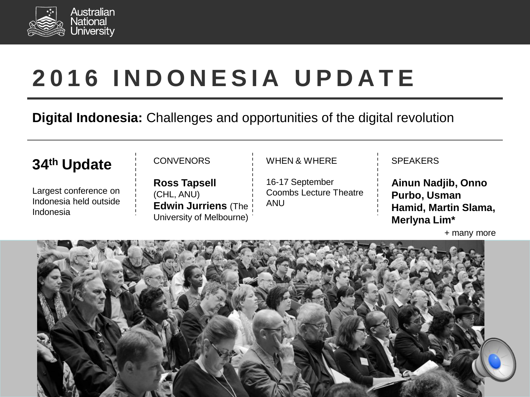

## **2 0 1 6 I N D O N E S I A U P D A T E**

#### **Digital Indonesia:** Challenges and opportunities of the digital revolution

#### **34th Update**

Largest conference on Indonesia held outside Indonesia

#### CONVENORS

**Ross Tapsell** (CHL, ANU) **Edwin Jurriens** (The University of Melbourne)

#### WHEN & WHERE

16-17 September Coombs Lecture Theatre ANU

#### **SPEAKERS**

**Ainun Nadjib, Onno Purbo, Usman Hamid, Martin Slama, Merlyna Lim\***

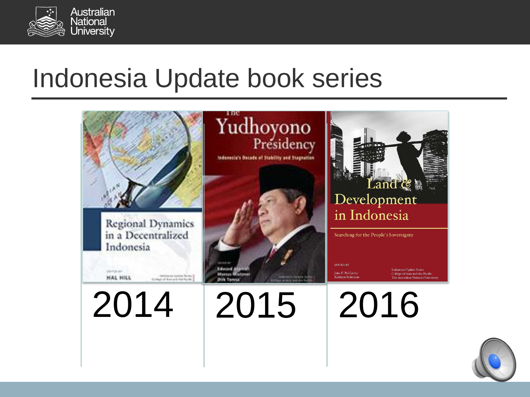

## Indonesia Update book series



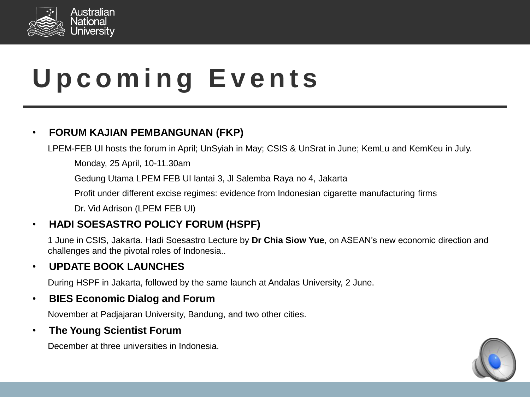

# **U p c o m i n g E v e n t s**

#### • **FORUM KAJIAN PEMBANGUNAN (FKP)**

LPEM-FEB UI hosts the forum in April; UnSyiah in May; CSIS & UnSrat in June; KemLu and KemKeu in July.

Monday, 25 April, 10-11.30am

Gedung Utama LPEM FEB UI lantai 3, Jl Salemba Raya no 4, Jakarta

Profit under different excise regimes: evidence from Indonesian cigarette manufacturing firms

Dr. Vid Adrison (LPEM FEB UI)

#### • **HADI SOESASTRO POLICY FORUM (HSPF)**

1 June in CSIS, Jakarta. Hadi Soesastro Lecture by **Dr Chia Siow Yue**, on ASEAN's new economic direction and challenges and the pivotal roles of Indonesia..

#### • **UPDATE BOOK LAUNCHES**

During HSPF in Jakarta, followed by the same launch at Andalas University, 2 June.

#### • **BIES Economic Dialog and Forum**

November at Padjajaran University, Bandung, and two other cities.

#### • **The Young Scientist Forum**

December at three universities in Indonesia.